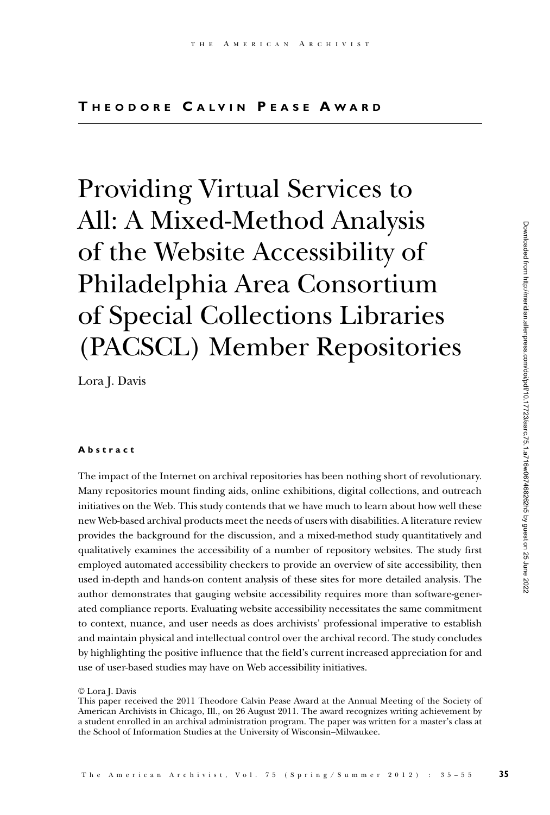Providing Virtual Services to All: A Mixed-Method Analysis of the Website Accessibility of Philadelphia Area Consortium of Special Collections Libraries (PACSCL) Member Repositories

Lora J. Davis

### **A b s t r a c t**

The impact of the Internet on archival repositories has been nothing short of revolutionary. Many repositories mount finding aids, online exhibitions, digital collections, and outreach initiatives on the Web. This study contends that we have much to learn about how well these new Web-based archival products meet the needs of users with disabilities. A literature review provides the background for the discussion, and a mixed-method study quantitatively and qualitatively examines the accessibility of a number of repository websites. The study first employed automated accessibility checkers to provide an overview of site accessibility, then used in-depth and hands-on content analysis of these sites for more detailed analysis. The author demonstrates that gauging website accessibility requires more than software-generated compliance reports. Evaluating website accessibility necessitates the same commitment to context, nuance, and user needs as does archivists' professional imperative to establish and maintain physical and intellectual control over the archival record. The study concludes by highlighting the positive influence that the field's current increased appreciation for and use of user-based studies may have on Web accessibility initiatives.

<sup>©</sup> Lora J. Davis

This paper received the 2011 Theodore Calvin Pease Award at the Annual Meeting of the Society of American Archivists in Chicago, Ill., on 26 August 2011. The award recognizes writing achievement by a student enrolled in an archival administration program. The paper was written for a master's class at the School of Information Studies at the University of Wisconsin–Milwaukee.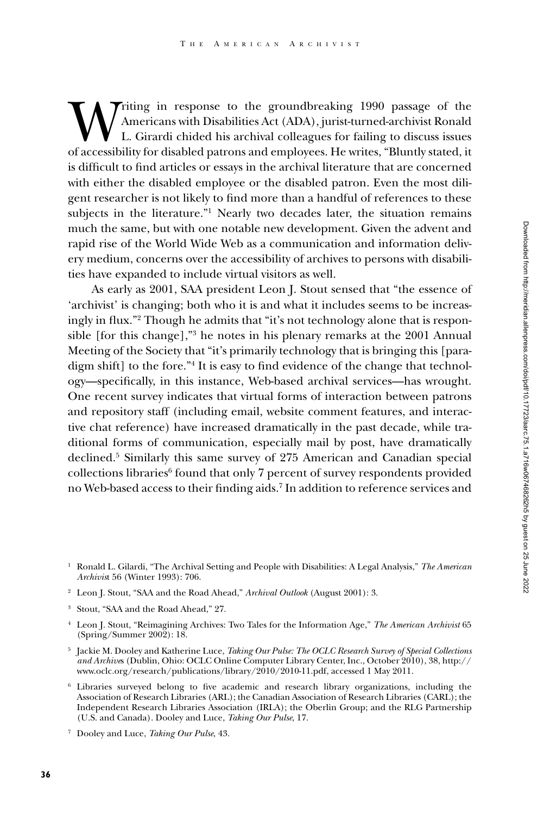Writing in response to the groundbreaking 1990 passage of the Americans with Disabilities Act (ADA), jurist-turned-archivist Ronald L. Girardi chided his archival colleagues for failing to discuss issues of accessibility f Americans with Disabilities Act (ADA), jurist-turned-archivist Ronald L. Girardi chided his archival colleagues for failing to discuss issues of accessibility for disabled patrons and employees. He writes, "Bluntly stated, it is difficult to find articles or essays in the archival literature that are concerned with either the disabled employee or the disabled patron. Even the most diligent researcher is not likely to find more than a handful of references to these subjects in the literature."<sup>1</sup> Nearly two decades later, the situation remains much the same, but with one notable new development. Given the advent and rapid rise of the World Wide Web as a communication and information delivery medium, concerns over the accessibility of archives to persons with disabilities have expanded to include virtual visitors as well.

As early as 2001, SAA president Leon J. Stout sensed that "the essence of 'archivist' is changing; both who it is and what it includes seems to be increasingly in flux."2 Though he admits that "it's not technology alone that is responsible [for this change],"3 he notes in his plenary remarks at the 2001 Annual Meeting of the Society that "it's primarily technology that is bringing this [paradigm shift] to the fore."4 It is easy to find evidence of the change that technology—specifically, in this instance, Web-based archival services—has wrought. One recent survey indicates that virtual forms of interaction between patrons and repository staff (including email, website comment features, and interactive chat reference) have increased dramatically in the past decade, while traditional forms of communication, especially mail by post, have dramatically declined.5 Similarly this same survey of 275 American and Canadian special collections libraries<sup>6</sup> found that only 7 percent of survey respondents provided no Web-based access to their finding aids.7 In addition to reference services and

- <sup>2</sup> Leon J. Stout, "SAA and the Road Ahead," *Archival Outlook* (August 2001): 3.
- <sup>3</sup> Stout, "SAA and the Road Ahead," 27.
- <sup>4</sup> Leon J. Stout, "Reimagining Archives: Two Tales for the Information Age," *The American Archivist* 65 (Spring/Summer 2002): 18.
- <sup>5</sup> Jackie M. Dooley and Katherine Luce, *Taking Our Pulse: The OCLC Research Survey of Special Collections and Archive*s (Dublin, Ohio: OCLC Online Computer Library Center, Inc., October 2010), 38, http:// www.oclc.org/research/publications/library/2010/2010-11.pdf, accessed 1 May 2011.
- <sup>6</sup> Libraries surveyed belong to five academic and research library organizations, including the Association of Research Libraries (ARL); the Canadian Association of Research Libraries (CARL); the Independent Research Libraries Association (IRLA); the Oberlin Group; and the RLG Partnership (U.S. and Canada). Dooley and Luce, *Taking Our Pulse*, 17.
- <sup>7</sup> Dooley and Luce, *Taking Our Pulse*, 43.

<sup>1</sup> Ronald L. Gilardi, "The Archival Setting and People with Disabilities: A Legal Analysis," *The American Archivis*t 56 (Winter 1993): 706.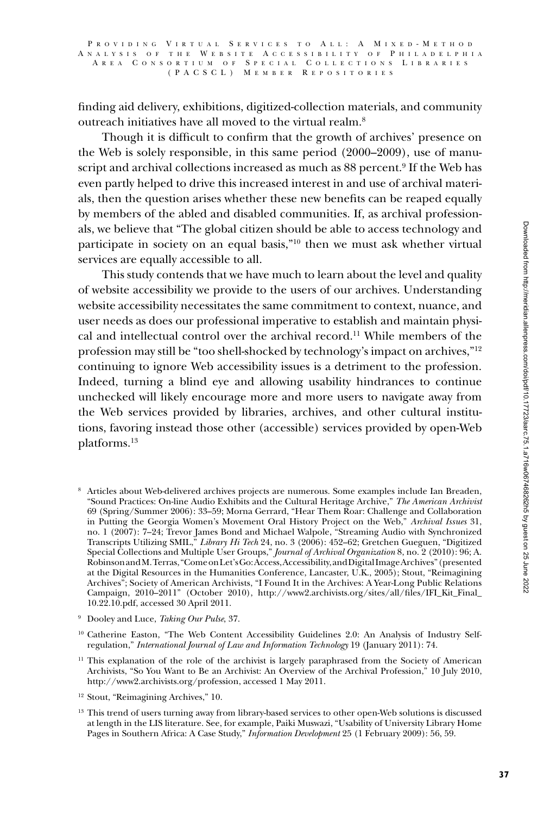### P R O V I D I N G V I R T U A L S E R V I C E S T O A L L : A M I X E D - M E T H O D A N A L Y S I S O F T H E W E B S I T E A C C E S S I B I L I T Y O F P H I L A D E L P H I AREA CONSORTIUM OF SPECIAL COLLECTIONS LIBRARIES ( P A CSCL ) M e m b e r R e p o s i t o r i e s

finding aid delivery, exhibitions, digitized-collection materials, and community outreach initiatives have all moved to the virtual realm.8

Though it is difficult to confirm that the growth of archives' presence on the Web is solely responsible, in this same period (2000–2009), use of manuscript and archival collections increased as much as 88 percent.<sup>9</sup> If the Web has even partly helped to drive this increased interest in and use of archival materials, then the question arises whether these new benefits can be reaped equally by members of the abled and disabled communities. If, as archival professionals, we believe that "The global citizen should be able to access technology and participate in society on an equal basis,"10 then we must ask whether virtual services are equally accessible to all.

This study contends that we have much to learn about the level and quality of website accessibility we provide to the users of our archives. Understanding website accessibility necessitates the same commitment to context, nuance, and user needs as does our professional imperative to establish and maintain physical and intellectual control over the archival record.11 While members of the profession may still be "too shell-shocked by technology's impact on archives,"12 continuing to ignore Web accessibility issues is a detriment to the profession. Indeed, turning a blind eye and allowing usability hindrances to continue unchecked will likely encourage more and more users to navigate away from the Web services provided by libraries, archives, and other cultural institutions, favoring instead those other (accessible) services provided by open-Web platforms.13

<sup>8</sup> Articles about Web-delivered archives projects are numerous. Some examples include Ian Breaden, "Sound Practices: On-line Audio Exhibits and the Cultural Heritage Archive," *The American Archivist* 69 (Spring/Summer 2006): 33–59; Morna Gerrard, "Hear Them Roar: Challenge and Collaboration in Putting the Georgia Women's Movement Oral History Project on the Web," *Archival Issues* 31, no. 1 (2007): 7–24; Trevor James Bond and Michael Walpole, "Streaming Audio with Synchronized Transcripts Utilizing SMIL," *Library Hi Tech* 24, no. 3 (2006): 452–62; Gretchen Gueguen, "Digitized Special Collections and Multiple User Groups," *Journal of Archival Organization* 8, no. 2 (2010): 96; A. Robinson and M. Terras, "Come on Let's Go: Access, Accessibility, and Digital Image Archives" (presented at the Digital Resources in the Humanities Conference, Lancaster, U.K., 2005); Stout, "Reimagining Archives"; Society of American Archivists, "I Found It in the Archives: A Year-Long Public Relations Campaign, 2010–2011" (October 2010), http://www2.archivists.org/sites/all/files/IFI\_Kit\_Final\_ 10.22.10.pdf, accessed 30 April 2011.

<sup>9</sup> Dooley and Luce, *Taking Our Pulse*, 37.

<sup>&</sup>lt;sup>10</sup> Catherine Easton, "The Web Content Accessibility Guidelines 2.0: An Analysis of Industry Selfregulation," *International Journal of Law and Information Technology* 19 (January 2011): 74.

<sup>&</sup>lt;sup>11</sup> This explanation of the role of the archivist is largely paraphrased from the Society of American Archivists, "So You Want to Be an Archivist: An Overview of the Archival Profession," 10 July 2010, http://www2.archivists.org/profession, accessed 1 May 2011.

<sup>&</sup>lt;sup>12</sup> Stout, "Reimagining Archives," 10.

<sup>&</sup>lt;sup>13</sup> This trend of users turning away from library-based services to other open-Web solutions is discussed at length in the LIS literature. See, for example, Paiki Muswazi, "Usability of University Library Home Pages in Southern Africa: A Case Study," *Information Development* 25 (1 February 2009): 56, 59.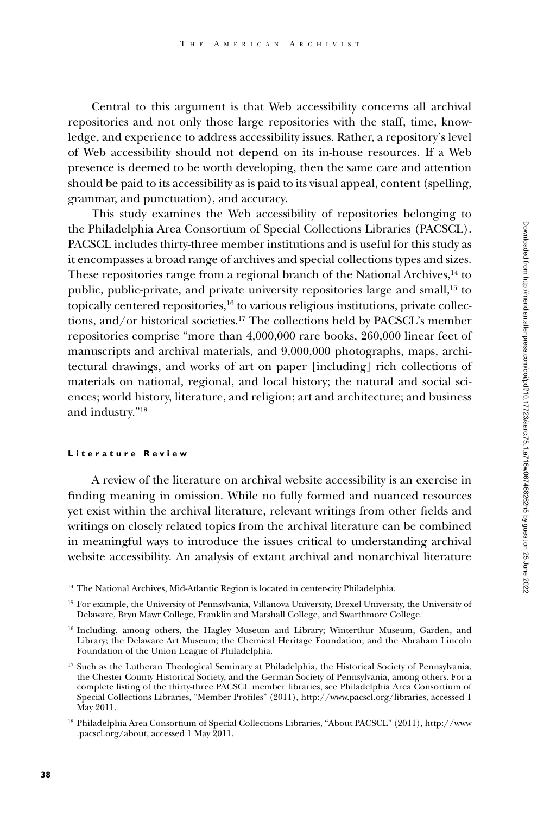Central to this argument is that Web accessibility concerns all archival repositories and not only those large repositories with the staff, time, knowledge, and experience to address accessibility issues. Rather, a repository's level of Web accessibility should not depend on its in-house resources. If a Web presence is deemed to be worth developing, then the same care and attention should be paid to its accessibility as is paid to its visual appeal, content (spelling, grammar, and punctuation), and accuracy.

This study examines the Web accessibility of repositories belonging to the Philadelphia Area Consortium of Special Collections Libraries (PACSCL). PACSCL includes thirty-three member institutions and is useful for this study as it encompasses a broad range of archives and special collections types and sizes. These repositories range from a regional branch of the National Archives,<sup>14</sup> to public, public-private, and private university repositories large and small,15 to topically centered repositories,<sup>16</sup> to various religious institutions, private collections, and/or historical societies.17 The collections held by PACSCL's member repositories comprise "more than 4,000,000 rare books, 260,000 linear feet of manuscripts and archival materials, and 9,000,000 photographs, maps, architectural drawings, and works of art on paper [including] rich collections of materials on national, regional, and local history; the natural and social sciences; world history, literature, and religion; art and architecture; and business and industry."18

## **Literature Review**

A review of the literature on archival website accessibility is an exercise in finding meaning in omission. While no fully formed and nuanced resources yet exist within the archival literature, relevant writings from other fields and writings on closely related topics from the archival literature can be combined in meaningful ways to introduce the issues critical to understanding archival website accessibility. An analysis of extant archival and nonarchival literature

<sup>14</sup> The National Archives, Mid-Atlantic Region is located in center-city Philadelphia.

<sup>&</sup>lt;sup>15</sup> For example, the University of Pennsylvania, Villanova University, Drexel University, the University of Delaware, Bryn Mawr College, Franklin and Marshall College, and Swarthmore College.

<sup>16</sup> Including, among others, the Hagley Museum and Library; Winterthur Museum, Garden, and Library; the Delaware Art Museum; the Chemical Heritage Foundation; and the Abraham Lincoln Foundation of the Union League of Philadelphia.

<sup>&</sup>lt;sup>17</sup> Such as the Lutheran Theological Seminary at Philadelphia, the Historical Society of Pennsylvania, the Chester County Historical Society, and the German Society of Pennsylvania, among others. For a complete listing of the thirty-three PACSCL member libraries, see Philadelphia Area Consortium of Special Collections Libraries, "Member Profiles" (2011), http://www.pacscl.org/libraries, accessed 1 May 2011.

<sup>18</sup> Philadelphia Area Consortium of Special Collections Libraries, "About PACSCL" (2011), http://www .pacscl.org/about, accessed 1 May 2011.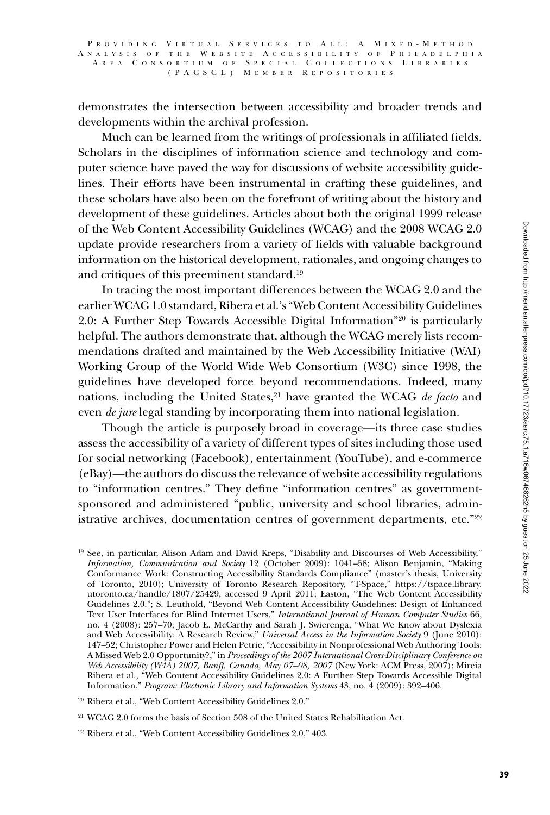demonstrates the intersection between accessibility and broader trends and developments within the archival profession.

Much can be learned from the writings of professionals in affiliated fields. Scholars in the disciplines of information science and technology and computer science have paved the way for discussions of website accessibility guidelines. Their efforts have been instrumental in crafting these guidelines, and these scholars have also been on the forefront of writing about the history and development of these guidelines. Articles about both the original 1999 release of the Web Content Accessibility Guidelines (WCAG) and the 2008 WCAG 2.0 update provide researchers from a variety of fields with valuable background information on the historical development, rationales, and ongoing changes to and critiques of this preeminent standard.19

In tracing the most important differences between the WCAG 2.0 and the earlier WCAG 1.0 standard, Ribera et al.'s "Web Content Accessibility Guidelines 2.0: A Further Step Towards Accessible Digital Information"20 is particularly helpful. The authors demonstrate that, although the WCAG merely lists recommendations drafted and maintained by the Web Accessibility Initiative (WAI) Working Group of the World Wide Web Consortium (W3C) since 1998, the guidelines have developed force beyond recommendations. Indeed, many nations, including the United States,<sup>21</sup> have granted the WCAG *de facto* and even *de jure* legal standing by incorporating them into national legislation.

Though the article is purposely broad in coverage—its three case studies assess the accessibility of a variety of different types of sites including those used for social networking (Facebook), entertainment (YouTube), and e-commerce (eBay)—the authors do discuss the relevance of website accessibility regulations to "information centres." They define "information centres" as governmentsponsored and administered "public, university and school libraries, administrative archives, documentation centres of government departments, etc."<sup>22</sup>

<sup>19</sup> See, in particular, Alison Adam and David Kreps, "Disability and Discourses of Web Accessibility," *Information, Communication and Society* 12 (October 2009): 1041–58; Alison Benjamin, "Making Conformance Work: Constructing Accessibility Standards Compliance" (master's thesis, University of Toronto, 2010); University of Toronto Research Repository, "T-Space," https://tspace.library. utoronto.ca/handle/1807/25429, accessed 9 April 2011; Easton, "The Web Content Accessibility Guidelines 2.0."; S. Leuthold, "Beyond Web Content Accessibility Guidelines: Design of Enhanced Text User Interfaces for Blind Internet Users," *International Journal of Human Computer Studies* 66, no. 4 (2008): 257–70; Jacob E. McCarthy and Sarah J. Swierenga, "What We Know about Dyslexia and Web Accessibility: A Research Review," *Universal Access in the Information Society* 9 (June 2010): 147–52; Christopher Power and Helen Petrie, "Accessibility in Nonprofessional Web Authoring Tools: A Missed Web 2.0 Opportunity?," in *Proceedings of the 2007 International Cross-Disciplinary Conference on Web Accessibility (W4A) 2007, Banff, Canada, May 07–08, 2007* (New York: ACM Press, 2007); Mireia Ribera et al., "Web Content Accessibility Guidelines 2.0: A Further Step Towards Accessible Digital Information," *Program: Electronic Library and Information Systems* 43, no. 4 (2009): 392–406.

<sup>20</sup> Ribera et al., "Web Content Accessibility Guidelines 2.0."

<sup>21</sup> WCAG 2.0 forms the basis of Section 508 of the United States Rehabilitation Act.

<sup>22</sup> Ribera et al., "Web Content Accessibility Guidelines 2.0," 403.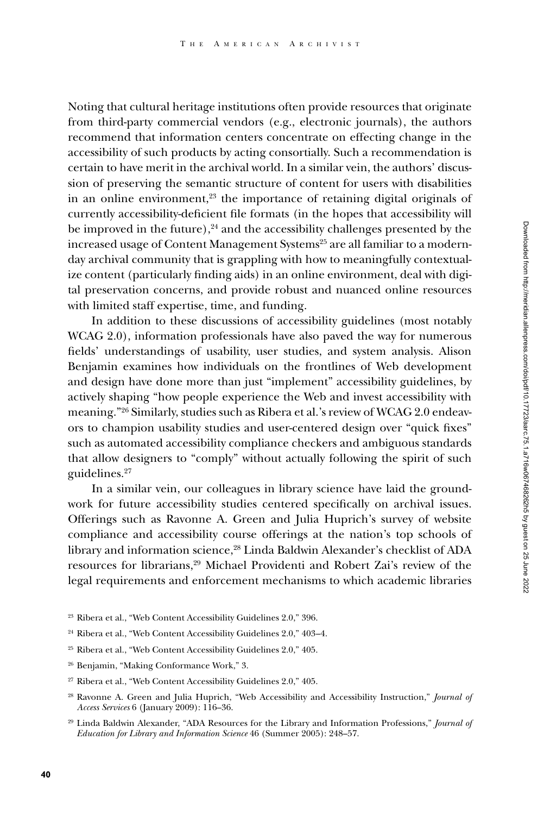Noting that cultural heritage institutions often provide resources that originate from third-party commercial vendors (e.g., electronic journals), the authors recommend that information centers concentrate on effecting change in the accessibility of such products by acting consortially. Such a recommendation is certain to have merit in the archival world. In a similar vein, the authors' discussion of preserving the semantic structure of content for users with disabilities in an online environment,<sup>23</sup> the importance of retaining digital originals of currently accessibility-deficient file formats (in the hopes that accessibility will be improved in the future), $24$  and the accessibility challenges presented by the increased usage of Content Management Systems<sup>25</sup> are all familiar to a modernday archival community that is grappling with how to meaningfully contextualize content (particularly finding aids) in an online environment, deal with digital preservation concerns, and provide robust and nuanced online resources with limited staff expertise, time, and funding.

In addition to these discussions of accessibility guidelines (most notably WCAG 2.0), information professionals have also paved the way for numerous fields' understandings of usability, user studies, and system analysis. Alison Benjamin examines how individuals on the frontlines of Web development and design have done more than just "implement" accessibility guidelines, by actively shaping "how people experience the Web and invest accessibility with meaning."26 Similarly, studies such as Ribera et al.'s review of WCAG 2.0 endeavors to champion usability studies and user-centered design over "quick fixes" such as automated accessibility compliance checkers and ambiguous standards that allow designers to "comply" without actually following the spirit of such guidelines.27

In a similar vein, our colleagues in library science have laid the groundwork for future accessibility studies centered specifically on archival issues. Offerings such as Ravonne A. Green and Julia Huprich's survey of website compliance and accessibility course offerings at the nation's top schools of library and information science,<sup>28</sup> Linda Baldwin Alexander's checklist of ADA resources for librarians,29 Michael Providenti and Robert Zai's review of the legal requirements and enforcement mechanisms to which academic libraries

- <sup>24</sup> Ribera et al., "Web Content Accessibility Guidelines 2.0," 403–4.
- <sup>25</sup> Ribera et al., "Web Content Accessibility Guidelines 2.0," 405.
- <sup>26</sup> Benjamin, "Making Conformance Work," 3.
- <sup>27</sup> Ribera et al., "Web Content Accessibility Guidelines 2.0," 405.
- <sup>28</sup> Ravonne A. Green and Julia Huprich, "Web Accessibility and Accessibility Instruction," *Journal of Access Services* 6 (January 2009): 116–36.
- <sup>29</sup> Linda Baldwin Alexander, "ADA Resources for the Library and Information Professions," *Journal of Education for Library and Information Science* 46 (Summer 2005): 248–57.

<sup>23</sup> Ribera et al., "Web Content Accessibility Guidelines 2.0," 396.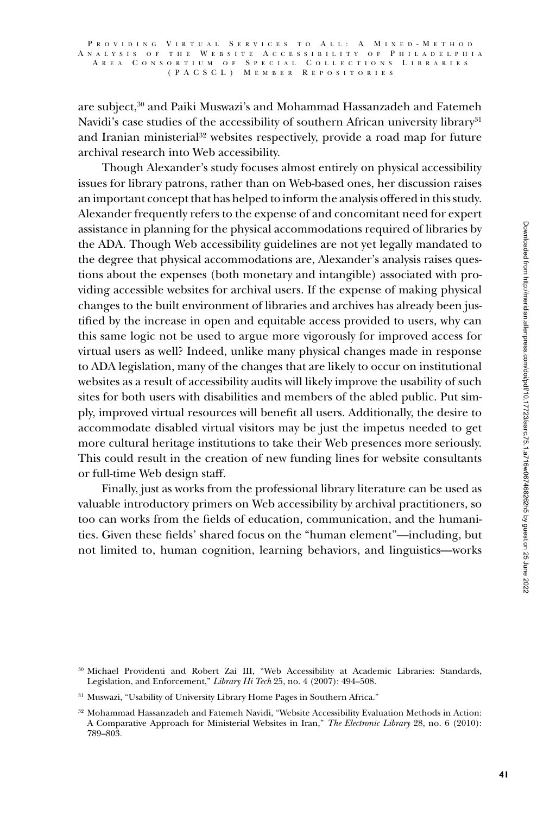P R O V I D I N G V I R T U A L S E R V I C E S T O A L L : A M I X E D - M E T H O D A N A L Y S I S O F T H E W E B S I T E A C C E S S I B I L I T Y O F P H I L A D E L P H I A A R E A C O N S O R T I U M O F S P E C I A L C O L L E C T I O N S L I B R A R I E S ( P A CSCL ) M e m b e r R e p o s i t o r i e s

are subject,30 and Paiki Muswazi's and Mohammad Hassanzadeh and Fatemeh Navidi's case studies of the accessibility of southern African university library<sup>31</sup> and Iranian ministerial32 websites respectively, provide a road map for future archival research into Web accessibility.

Though Alexander's study focuses almost entirely on physical accessibility issues for library patrons, rather than on Web-based ones, her discussion raises an important concept that has helped to inform the analysis offered in this study. Alexander frequently refers to the expense of and concomitant need for expert assistance in planning for the physical accommodations required of libraries by the ADA. Though Web accessibility guidelines are not yet legally mandated to the degree that physical accommodations are, Alexander's analysis raises questions about the expenses (both monetary and intangible) associated with providing accessible websites for archival users. If the expense of making physical changes to the built environment of libraries and archives has already been justified by the increase in open and equitable access provided to users, why can this same logic not be used to argue more vigorously for improved access for virtual users as well? Indeed, unlike many physical changes made in response to ADA legislation, many of the changes that are likely to occur on institutional websites as a result of accessibility audits will likely improve the usability of such sites for both users with disabilities and members of the abled public. Put simply, improved virtual resources will benefit all users. Additionally, the desire to accommodate disabled virtual visitors may be just the impetus needed to get more cultural heritage institutions to take their Web presences more seriously. This could result in the creation of new funding lines for website consultants or full-time Web design staff.

Finally, just as works from the professional library literature can be used as valuable introductory primers on Web accessibility by archival practitioners, so too can works from the fields of education, communication, and the humanities. Given these fields' shared focus on the "human element"—including, but not limited to, human cognition, learning behaviors, and linguistics—works

<sup>30</sup> Michael Providenti and Robert Zai III, "Web Accessibility at Academic Libraries: Standards, Legislation, and Enforcement," *Library Hi Tech* 25, no. 4 (2007): 494–508.

<sup>31</sup> Muswazi, "Usability of University Library Home Pages in Southern Africa."

<sup>32</sup> Mohammad Hassanzadeh and Fatemeh Navidi, "Website Accessibility Evaluation Methods in Action: A Comparative Approach for Ministerial Websites in Iran," *The Electronic Library* 28, no. 6 (2010): 789–803.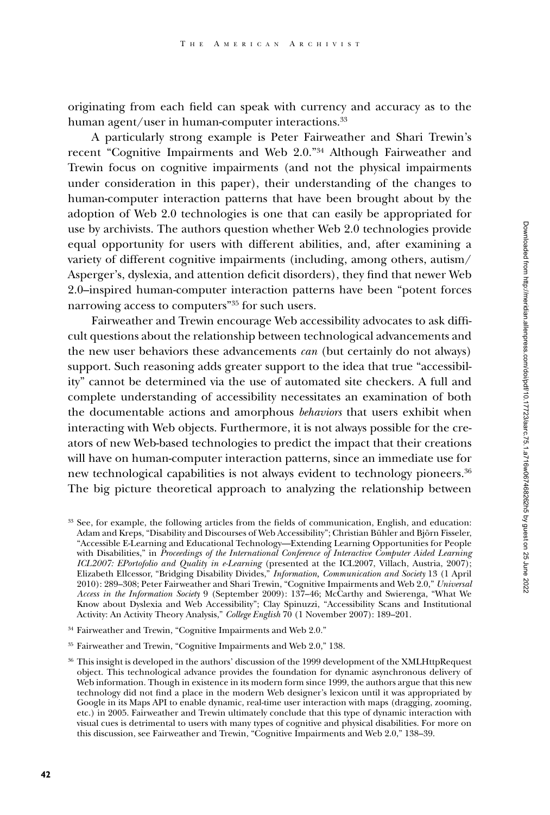originating from each field can speak with currency and accuracy as to the human agent/user in human-computer interactions.<sup>33</sup>

A particularly strong example is Peter Fairweather and Shari Trewin's recent "Cognitive Impairments and Web 2.0."34 Although Fairweather and Trewin focus on cognitive impairments (and not the physical impairments under consideration in this paper), their understanding of the changes to human-computer interaction patterns that have been brought about by the adoption of Web 2.0 technologies is one that can easily be appropriated for use by archivists. The authors question whether Web 2.0 technologies provide equal opportunity for users with different abilities, and, after examining a variety of different cognitive impairments (including, among others, autism/ Asperger's, dyslexia, and attention deficit disorders), they find that newer Web 2.0–inspired human-computer interaction patterns have been "potent forces narrowing access to computers"35 for such users.

Fairweather and Trewin encourage Web accessibility advocates to ask difficult questions about the relationship between technological advancements and the new user behaviors these advancements *can* (but certainly do not always) support. Such reasoning adds greater support to the idea that true "accessibility" cannot be determined via the use of automated site checkers. A full and complete understanding of accessibility necessitates an examination of both the documentable actions and amorphous *behaviors* that users exhibit when interacting with Web objects. Furthermore, it is not always possible for the creators of new Web-based technologies to predict the impact that their creations will have on human-computer interaction patterns, since an immediate use for new technological capabilities is not always evident to technology pioneers.<sup>36</sup> The big picture theoretical approach to analyzing the relationship between

- <sup>34</sup> Fairweather and Trewin, "Cognitive Impairments and Web 2.0."
- <sup>35</sup> Fairweather and Trewin, "Cognitive Impairments and Web 2.0," 138.

<sup>33</sup> See, for example, the following articles from the fields of communication, English, and education: Adam and Kreps, "Disability and Discourses of Web Accessibility"; Christian Bühler and Björn Fisseler, "Accessible E-Learning and Educational Technology—Extending Learning Opportunities for People with Disabilities," in *Proceedings of the International Conference of Interactive Computer Aided Learning ICL2007: EPortofolio and Quality in e-Learning* (presented at the ICL2007, Villach, Austria, 2007); Elizabeth Ellcessor, "Bridging Disability Divides," *Information, Communication and Society* 13 (1 April 2010): 289–308; Peter Fairweather and Shari Trewin, "Cognitive Impairments and Web 2.0," *Universal Access in the Information Society* 9 (September 2009): 137–46; McCarthy and Swierenga, "What We Know about Dyslexia and Web Accessibility"; Clay Spinuzzi, "Accessibility Scans and Institutional Activity: An Activity Theory Analysis," *College English* 70 (1 November 2007): 189–201.

 $36$  This insight is developed in the authors' discussion of the 1999 development of the XMLHttpRequest object. This technological advance provides the foundation for dynamic asynchronous delivery of Web information. Though in existence in its modern form since 1999, the authors argue that this new technology did not find a place in the modern Web designer's lexicon until it was appropriated by Google in its Maps API to enable dynamic, real-time user interaction with maps (dragging, zooming, etc.) in 2005. Fairweather and Trewin ultimately conclude that this type of dynamic interaction with visual cues is detrimental to users with many types of cognitive and physical disabilities. For more on this discussion, see Fairweather and Trewin, "Cognitive Impairments and Web 2.0," 138–39.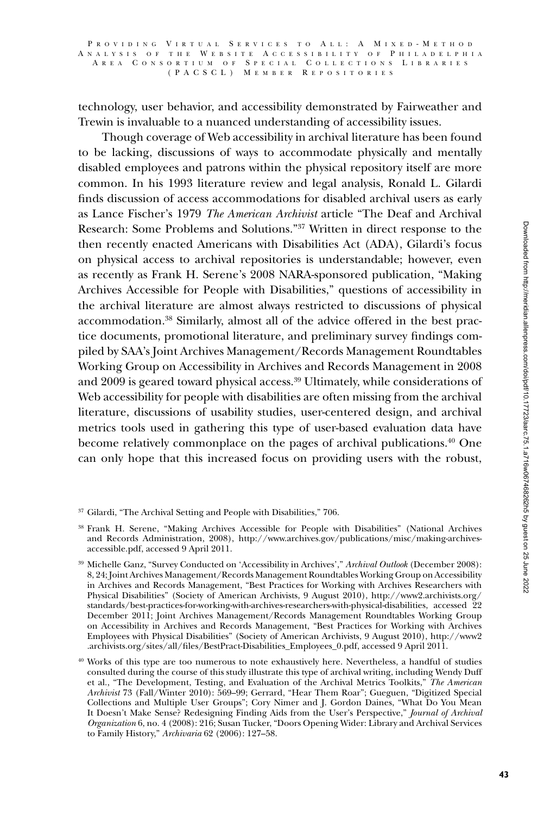### P R O V I D I N G V I R T U A L S E R V I C E S T O A L L : A M I X E D - M E T H O D A N A L Y S I S O F T H E W E B S I T E A C C E S S I B I L I T Y O F P H I L A D E L P H I A R E A C O N S O R T I U M O F S P E C I A L C O L L E C T I O N S L I B R A R I E S ( P A CSCL ) M e m b e r R e p o s i t o r i e s

technology, user behavior, and accessibility demonstrated by Fairweather and Trewin is invaluable to a nuanced understanding of accessibility issues.

Though coverage of Web accessibility in archival literature has been found to be lacking, discussions of ways to accommodate physically and mentally disabled employees and patrons within the physical repository itself are more common. In his 1993 literature review and legal analysis, Ronald L. Gilardi finds discussion of access accommodations for disabled archival users as early as Lance Fischer's 1979 *The American Archivist* article "The Deaf and Archival Research: Some Problems and Solutions."37 Written in direct response to the then recently enacted Americans with Disabilities Act (ADA), Gilardi's focus on physical access to archival repositories is understandable; however, even as recently as Frank H. Serene's 2008 NARA-sponsored publication, "Making Archives Accessible for People with Disabilities," questions of accessibility in the archival literature are almost always restricted to discussions of physical accommodation.38 Similarly, almost all of the advice offered in the best practice documents, promotional literature, and preliminary survey findings compiled by SAA's Joint Archives Management/Records Management Roundtables Working Group on Accessibility in Archives and Records Management in 2008 and 2009 is geared toward physical access.39 Ultimately, while considerations of Web accessibility for people with disabilities are often missing from the archival literature, discussions of usability studies, user-centered design, and archival metrics tools used in gathering this type of user-based evaluation data have become relatively commonplace on the pages of archival publications.40 One can only hope that this increased focus on providing users with the robust,

<sup>37</sup> Gilardi, "The Archival Setting and People with Disabilities," 706.

<sup>38</sup> Frank H. Serene, "Making Archives Accessible for People with Disabilities" (National Archives and Records Administration, 2008), http://www.archives.gov/publications/misc/making-archivesaccessible.pdf, accessed 9 April 2011.

<sup>39</sup> Michelle Ganz, "Survey Conducted on 'Accessibility in Archives'," *Archival Outlook* (December 2008): 8, 24; Joint Archives Management/Records Management Roundtables Working Group on Accessibility in Archives and Records Management, "Best Practices for Working with Archives Researchers with Physical Disabilities" (Society of American Archivists, 9 August 2010), http://www2.archivists.org/ standards/best-practices-for-working-with-archives-researchers-with-physical-disabilities, accessed 22 December 2011; Joint Archives Management/Records Management Roundtables Working Group on Accessibility in Archives and Records Management, "Best Practices for Working with Archives Employees with Physical Disabilities" (Society of American Archivists, 9 August 2010), http://www2 .archivists.org/sites/all/files/BestPract-Disabilities\_Employees\_0.pdf, accessed 9 April 2011.

<sup>40</sup> Works of this type are too numerous to note exhaustively here. Nevertheless, a handful of studies consulted during the course of this study illustrate this type of archival writing, including Wendy Duff et al., "The Development, Testing, and Evaluation of the Archival Metrics Toolkits," *The American Archivist* 73 (Fall/Winter 2010): 569–99; Gerrard, "Hear Them Roar"; Gueguen, "Digitized Special Collections and Multiple User Groups"; Cory Nimer and J. Gordon Daines, "What Do You Mean It Doesn't Make Sense? Redesigning Finding Aids from the User's Perspective," *Journal of Archival Organization* 6, no. 4 (2008): 216; Susan Tucker, "Doors Opening Wider: Library and Archival Services to Family History," *Archivaria* 62 (2006): 127–58.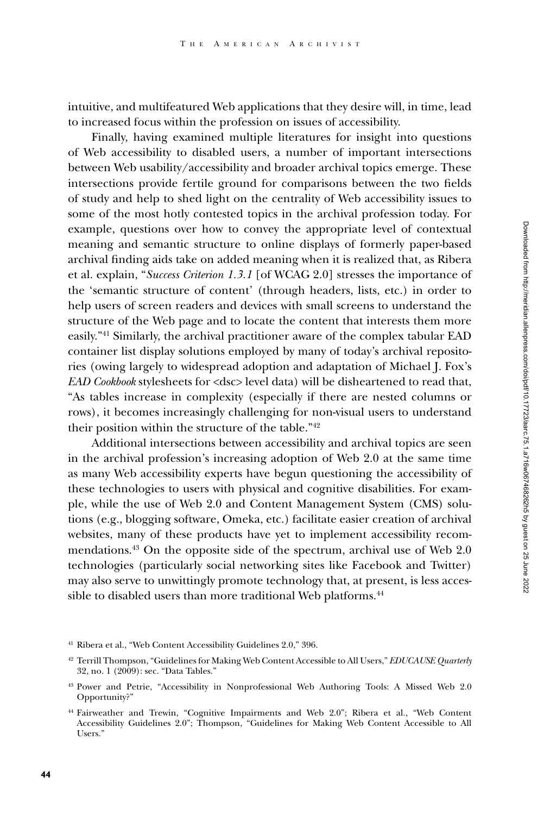intuitive, and multifeatured Web applications that they desire will, in time, lead to increased focus within the profession on issues of accessibility.

Finally, having examined multiple literatures for insight into questions of Web accessibility to disabled users, a number of important intersections between Web usability/accessibility and broader archival topics emerge. These intersections provide fertile ground for comparisons between the two fields of study and help to shed light on the centrality of Web accessibility issues to some of the most hotly contested topics in the archival profession today. For example, questions over how to convey the appropriate level of contextual meaning and semantic structure to online displays of formerly paper-based archival finding aids take on added meaning when it is realized that, as Ribera et al. explain, "*Success Criterion 1.3.1* [of WCAG 2.0] stresses the importance of the 'semantic structure of content' (through headers, lists, etc.) in order to help users of screen readers and devices with small screens to understand the structure of the Web page and to locate the content that interests them more easily."41 Similarly, the archival practitioner aware of the complex tabular EAD container list display solutions employed by many of today's archival repositories (owing largely to widespread adoption and adaptation of Michael J. Fox's *EAD Cookbook* stylesheets for <dsc> level data) will be disheartened to read that, "As tables increase in complexity (especially if there are nested columns or rows), it becomes increasingly challenging for non-visual users to understand their position within the structure of the table."42

Additional intersections between accessibility and archival topics are seen in the archival profession's increasing adoption of Web 2.0 at the same time as many Web accessibility experts have begun questioning the accessibility of these technologies to users with physical and cognitive disabilities. For example, while the use of Web 2.0 and Content Management System (CMS) solutions (e.g., blogging software, Omeka, etc.) facilitate easier creation of archival websites, many of these products have yet to implement accessibility recommendations.43 On the opposite side of the spectrum, archival use of Web 2.0 technologies (particularly social networking sites like Facebook and Twitter) may also serve to unwittingly promote technology that, at present, is less accessible to disabled users than more traditional Web platforms.<sup>44</sup>

<sup>41</sup> Ribera et al., "Web Content Accessibility Guidelines 2.0," 396.

<sup>42</sup> Terrill Thompson, "Guidelines for Making Web Content Accessible to All Users," *EDUCAUSE Quarterly* 32, no. 1 (2009): sec. "Data Tables."

<sup>43</sup> Power and Petrie, "Accessibility in Nonprofessional Web Authoring Tools: A Missed Web 2.0 Opportunity?"

<sup>44</sup> Fairweather and Trewin, "Cognitive Impairments and Web 2.0"; Ribera et al., "Web Content Accessibility Guidelines 2.0"; Thompson, "Guidelines for Making Web Content Accessible to All Users."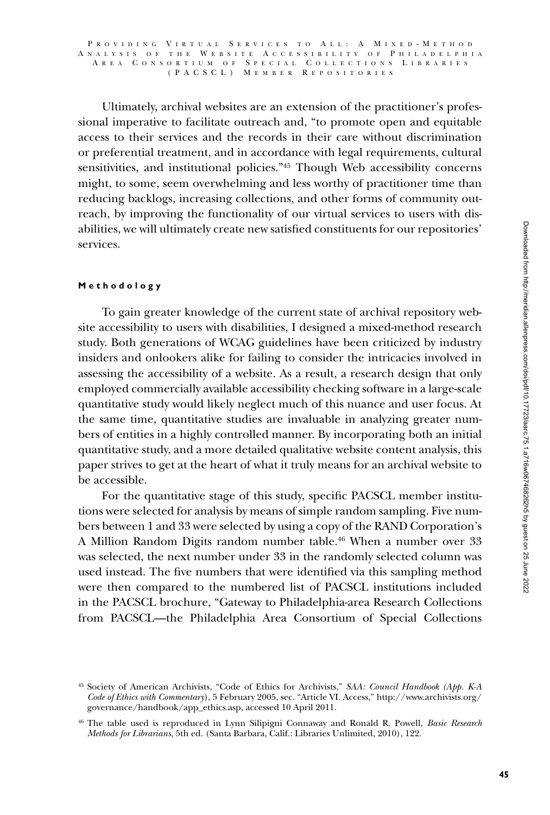#### P R O V I D I N G V I R T U A L S E R V I C E S T O A L L : A M I X E D - M E T H O D A N A L Y S I S O F T H E W E B S I T E A C C E S S I B I L I T Y O F P H I L A D E L P H I A A R E A C O N S O R T I U M O F S P E C I A L C O L L E C T I O N S L I B R A R I E S ( P A CSCL ) M e m b e r R e p o s i t o r i e s

Ultimately, archival websites are an extension of the practitioner's professional imperative to facilitate outreach and, "to promote open and equitable access to their services and the records in their care without discrimination or preferential treatment, and in accordance with legal requirements, cultural sensitivities, and institutional policies."45 Though Web accessibility concerns might, to some, seem overwhelming and less worthy of practitioner time than reducing backlogs, increasing collections, and other forms of community outreach, by improving the functionality of our virtual services to users with disabilities, we will ultimately create new satisfied constituents for our repositories' services.

## **Methodology**

To gain greater knowledge of the current state of archival repository website accessibility to users with disabilities, I designed a mixed-method research study. Both generations of WCAG guidelines have been criticized by industry insiders and onlookers alike for failing to consider the intricacies involved in assessing the accessibility of a website. As a result, a research design that only employed commercially available accessibility checking software in a large-scale quantitative study would likely neglect much of this nuance and user focus. At the same time, quantitative studies are invaluable in analyzing greater numbers of entities in a highly controlled manner. By incorporating both an initial quantitative study, and a more detailed qualitative website content analysis, this paper strives to get at the heart of what it truly means for an archival website to be accessible.

For the quantitative stage of this study, specific PACSCL member institutions were selected for analysis by means of simple random sampling. Five numbers between 1 and 33 were selected by using a copy of the RAND Corporation's A Million Random Digits random number table.46 When a number over 33 was selected, the next number under 33 in the randomly selected column was used instead. The five numbers that were identified via this sampling method were then compared to the numbered list of PACSCL institutions included in the PACSCL brochure, "Gateway to Philadelphia-area Research Collections from PACSCL—the Philadelphia Area Consortium of Special Collections

<sup>45</sup> Society of American Archivists, "Code of Ethics for Archivists," *SAA: Council Handbook (App. K-A Code of Ethics with Commentary*), 5 February 2005, sec. "Article VI. Access," http://www.archivists.org/ governance/handbook/app\_ethics.asp, accessed 10 April 2011.

<sup>46</sup> The table used is reproduced in Lynn Silipigni Connaway and Ronald R. Powell, *Basic Research Methods for Librarians*, 5th ed. (Santa Barbara, Calif.: Libraries Unlimited, 2010), 122.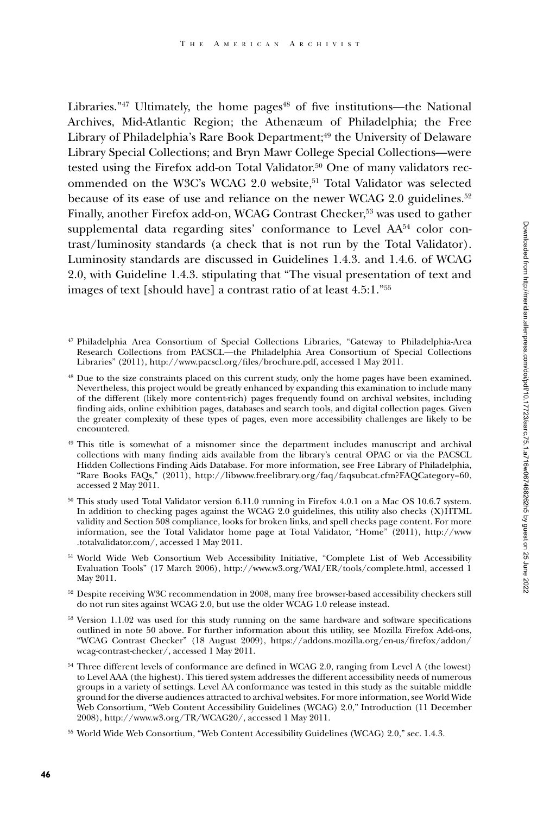Libraries." $47$  Ultimately, the home pages $48$  of five institutions—the National Archives, Mid-Atlantic Region; the Athenæum of Philadelphia; the Free Library of Philadelphia's Rare Book Department;<sup>49</sup> the University of Delaware Library Special Collections; and Bryn Mawr College Special Collections—were tested using the Firefox add-on Total Validator.<sup>50</sup> One of many validators recommended on the W3C's WCAG 2.0 website,<sup>51</sup> Total Validator was selected because of its ease of use and reliance on the newer WCAG 2.0 guidelines.<sup>52</sup> Finally, another Firefox add-on, WCAG Contrast Checker,<sup>53</sup> was used to gather supplemental data regarding sites' conformance to Level  $AA<sup>54</sup>$  color contrast/luminosity standards (a check that is not run by the Total Validator). Luminosity standards are discussed in Guidelines 1.4.3. and 1.4.6. of WCAG 2.0, with Guideline 1.4.3. stipulating that "The visual presentation of text and images of text [should have] a contrast ratio of at least 4.5:1."55

- <sup>47</sup> Philadelphia Area Consortium of Special Collections Libraries, "Gateway to Philadelphia-Area Research Collections from PACSCL—the Philadelphia Area Consortium of Special Collections Libraries" (2011), http://www.pacscl.org/files/brochure.pdf, accessed 1 May 2011.
- <sup>48</sup> Due to the size constraints placed on this current study, only the home pages have been examined. Nevertheless, this project would be greatly enhanced by expanding this examination to include many of the different (likely more content-rich) pages frequently found on archival websites, including finding aids, online exhibition pages, databases and search tools, and digital collection pages. Given the greater complexity of these types of pages, even more accessibility challenges are likely to be encountered.
- <sup>49</sup> This title is somewhat of a misnomer since the department includes manuscript and archival collections with many finding aids available from the library's central OPAC or via the PACSCL Hidden Collections Finding Aids Database. For more information, see Free Library of Philadelphia, "Rare Books FAQs," (2011), http://libwww.freelibrary.org/faq/faqsubcat.cfm?FAQCategory=60, accessed 2 May 2011.
- <sup>50</sup> This study used Total Validator version 6.11.0 running in Firefox 4.0.1 on a Mac OS 10.6.7 system. In addition to checking pages against the WCAG 2.0 guidelines, this utility also checks (X)HTML validity and Section 508 compliance, looks for broken links, and spell checks page content. For more information, see the Total Validator home page at Total Validator, "Home" (2011), http://www .totalvalidator.com/, accessed 1 May 2011.
- <sup>51</sup> World Wide Web Consortium Web Accessibility Initiative, "Complete List of Web Accessibility Evaluation Tools" (17 March 2006), http://www.w3.org/WAI/ER/tools/complete.html, accessed 1 May 2011.
- <sup>52</sup> Despite receiving W3C recommendation in 2008, many free browser-based accessibility checkers still do not run sites against WCAG 2.0, but use the older WCAG 1.0 release instead.
- <sup>53</sup> Version 1.1.02 was used for this study running on the same hardware and software specifications outlined in note 50 above. For further information about this utility, see Mozilla Firefox Add-ons, "WCAG Contrast Checker" (18 August 2009), https://addons.mozilla.org/en-us/firefox/addon/ wcag-contrast-checker/, accessed 1 May 2011.
- <sup>54</sup> Three different levels of conformance are defined in WCAG 2.0, ranging from Level A (the lowest) to Level AAA (the highest). This tiered system addresses the different accessibility needs of numerous groups in a variety of settings. Level AA conformance was tested in this study as the suitable middle ground for the diverse audiences attracted to archival websites. For more information, see World Wide Web Consortium, "Web Content Accessibility Guidelines (WCAG) 2.0," Introduction (11 December 2008), http://www.w3.org/TR/WCAG20/, accessed 1 May 2011.
- <sup>55</sup> World Wide Web Consortium, "Web Content Accessibility Guidelines (WCAG) 2.0," sec. 1.4.3.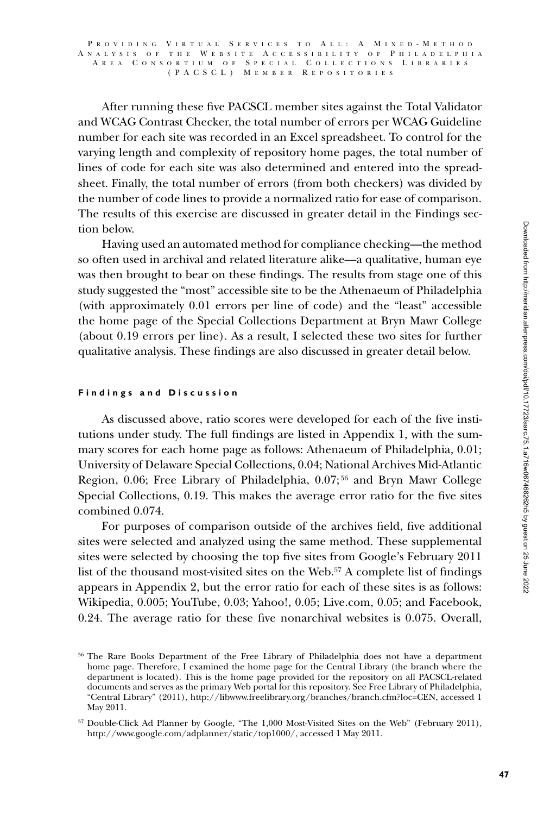After running these five PACSCL member sites against the Total Validator and WCAG Contrast Checker, the total number of errors per WCAG Guideline number for each site was recorded in an Excel spreadsheet. To control for the varying length and complexity of repository home pages, the total number of lines of code for each site was also determined and entered into the spreadsheet. Finally, the total number of errors (from both checkers) was divided by the number of code lines to provide a normalized ratio for ease of comparison. The results of this exercise are discussed in greater detail in the Findings section below.

Having used an automated method for compliance checking—the method so often used in archival and related literature alike—a qualitative, human eye was then brought to bear on these findings. The results from stage one of this study suggested the "most" accessible site to be the Athenaeum of Philadelphia (with approximately 0.01 errors per line of code) and the "least" accessible the home page of the Special Collections Department at Bryn Mawr College (about 0.19 errors per line). As a result, I selected these two sites for further qualitative analysis. These findings are also discussed in greater detail below.

## **Findings and Discussion**

As discussed above, ratio scores were developed for each of the five institutions under study. The full findings are listed in Appendix 1, with the summary scores for each home page as follows: Athenaeum of Philadelphia, 0.01; University of Delaware Special Collections, 0.04; National Archives Mid-Atlantic Region, 0.06; Free Library of Philadelphia, 0.07; 56 and Bryn Mawr College Special Collections, 0.19. This makes the average error ratio for the five sites combined 0.074.

For purposes of comparison outside of the archives field, five additional sites were selected and analyzed using the same method. These supplemental sites were selected by choosing the top five sites from Google's February 2011 list of the thousand most-visited sites on the Web.57 A complete list of findings appears in Appendix 2, but the error ratio for each of these sites is as follows: Wikipedia, 0.005; YouTube, 0.03; Yahoo!, 0.05; Live.com, 0.05; and Facebook, 0.24. The average ratio for these five nonarchival websites is 0.075. Overall,

<sup>56</sup> The Rare Books Department of the Free Library of Philadelphia does not have a department home page. Therefore, I examined the home page for the Central Library (the branch where the department is located). This is the home page provided for the repository on all PACSCL-related documents and serves as the primary Web portal for this repository. See Free Library of Philadelphia, "Central Library" (2011), http://libwww.freelibrary.org/branches/branch.cfm?loc=CEN, accessed 1 May 2011.

<sup>57</sup> Double-Click Ad Planner by Google, "The 1,000 Most-Visited Sites on the Web" (February 2011), http://www.google.com/adplanner/static/top1000/, accessed 1 May 2011.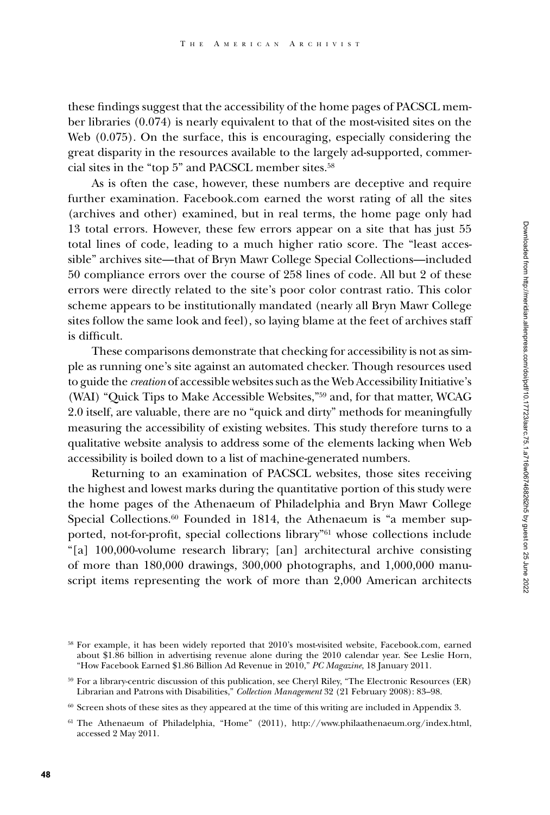these findings suggest that the accessibility of the home pages of PACSCL member libraries (0.074) is nearly equivalent to that of the most-visited sites on the Web (0.075). On the surface, this is encouraging, especially considering the great disparity in the resources available to the largely ad-supported, commercial sites in the "top 5" and PACSCL member sites.58

As is often the case, however, these numbers are deceptive and require further examination. Facebook.com earned the worst rating of all the sites (archives and other) examined, but in real terms, the home page only had 13 total errors. However, these few errors appear on a site that has just 55 total lines of code, leading to a much higher ratio score. The "least accessible" archives site—that of Bryn Mawr College Special Collections—included 50 compliance errors over the course of 258 lines of code. All but 2 of these errors were directly related to the site's poor color contrast ratio. This color scheme appears to be institutionally mandated (nearly all Bryn Mawr College sites follow the same look and feel), so laying blame at the feet of archives staff is difficult.

These comparisons demonstrate that checking for accessibility is not as simple as running one's site against an automated checker. Though resources used to guide the *creation* of accessible websites such as the Web Accessibility Initiative's (WAI) "Quick Tips to Make Accessible Websites,"59 and, for that matter, WCAG 2.0 itself, are valuable, there are no "quick and dirty" methods for meaningfully measuring the accessibility of existing websites. This study therefore turns to a qualitative website analysis to address some of the elements lacking when Web accessibility is boiled down to a list of machine-generated numbers.

Returning to an examination of PACSCL websites, those sites receiving the highest and lowest marks during the quantitative portion of this study were the home pages of the Athenaeum of Philadelphia and Bryn Mawr College Special Collections.<sup>60</sup> Founded in 1814, the Athenaeum is "a member supported, not-for-profit, special collections library"61 whose collections include "[a] 100,000-volume research library; [an] architectural archive consisting of more than 180,000 drawings, 300,000 photographs, and 1,000,000 manuscript items representing the work of more than 2,000 American architects

<sup>58</sup> For example, it has been widely reported that 2010's most-visited website, Facebook.com, earned about \$1.86 billion in advertising revenue alone during the 2010 calendar year. See Leslie Horn, "How Facebook Earned \$1.86 Billion Ad Revenue in 2010," *PC Magazine*, 18 January 2011.

<sup>59</sup> For a library-centric discussion of this publication, see Cheryl Riley, "The Electronic Resources (ER) Librarian and Patrons with Disabilities," *Collection Management* 32 (21 February 2008): 83–98.

 $^{60}$  Screen shots of these sites as they appeared at the time of this writing are included in Appendix 3.

<sup>61</sup> The Athenaeum of Philadelphia, "Home" (2011), http://www.philaathenaeum.org/index.html, accessed 2 May 2011.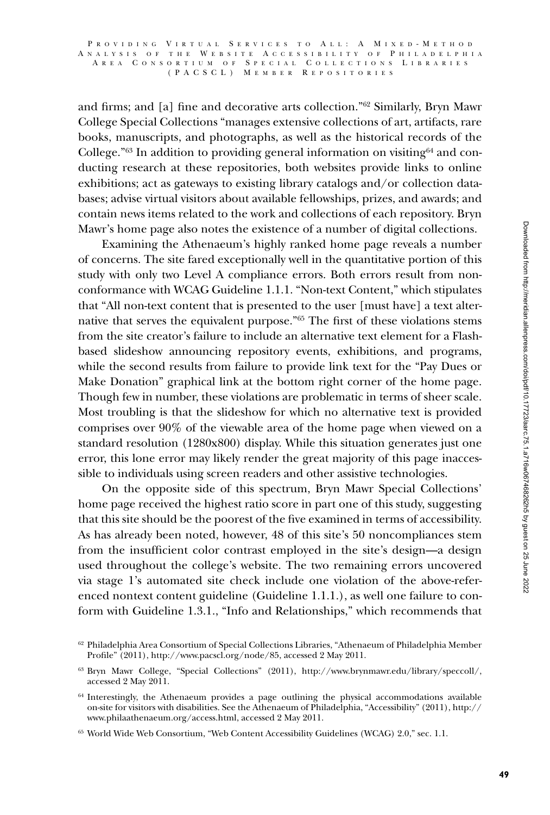and firms; and [a] fine and decorative arts collection."62 Similarly, Bryn Mawr College Special Collections "manages extensive collections of art, artifacts, rare books, manuscripts, and photographs, as well as the historical records of the College." $63$  In addition to providing general information on visiting $64$  and conducting research at these repositories, both websites provide links to online exhibitions; act as gateways to existing library catalogs and/or collection databases; advise virtual visitors about available fellowships, prizes, and awards; and contain news items related to the work and collections of each repository. Bryn Mawr's home page also notes the existence of a number of digital collections.

Examining the Athenaeum's highly ranked home page reveals a number of concerns. The site fared exceptionally well in the quantitative portion of this study with only two Level A compliance errors. Both errors result from nonconformance with WCAG Guideline 1.1.1. "Non-text Content," which stipulates that "All non-text content that is presented to the user [must have] a text alternative that serves the equivalent purpose."65 The first of these violations stems from the site creator's failure to include an alternative text element for a Flashbased slideshow announcing repository events, exhibitions, and programs, while the second results from failure to provide link text for the "Pay Dues or Make Donation" graphical link at the bottom right corner of the home page. Though few in number, these violations are problematic in terms of sheer scale. Most troubling is that the slideshow for which no alternative text is provided comprises over 90% of the viewable area of the home page when viewed on a standard resolution (1280x800) display. While this situation generates just one error, this lone error may likely render the great majority of this page inaccessible to individuals using screen readers and other assistive technologies.

On the opposite side of this spectrum, Bryn Mawr Special Collections' home page received the highest ratio score in part one of this study, suggesting that this site should be the poorest of the five examined in terms of accessibility. As has already been noted, however, 48 of this site's 50 noncompliances stem from the insufficient color contrast employed in the site's design—a design used throughout the college's website. The two remaining errors uncovered via stage 1's automated site check include one violation of the above-referenced nontext content guideline (Guideline 1.1.1.), as well one failure to conform with Guideline 1.3.1., "Info and Relationships," which recommends that

<sup>62</sup> Philadelphia Area Consortium of Special Collections Libraries, "Athenaeum of Philadelphia Member Profile" (2011), http://www.pacscl.org/node/85, accessed 2 May 2011.

<sup>63</sup> Bryn Mawr College, "Special Collections" (2011), http://www.brynmawr.edu/library/speccoll/, accessed 2 May 2011.

<sup>&</sup>lt;sup>64</sup> Interestingly, the Athenaeum provides a page outlining the physical accommodations available on-site for visitors with disabilities. See the Athenaeum of Philadelphia, "Accessibility" (2011), http:// www.philaathenaeum.org/access.html, accessed 2 May 2011.

<sup>65</sup> World Wide Web Consortium, "Web Content Accessibility Guidelines (WCAG) 2.0," sec. 1.1.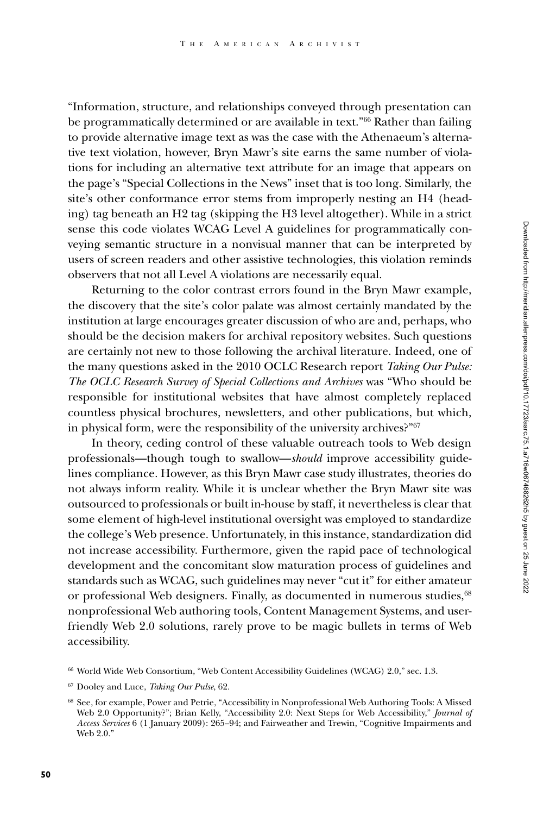"Information, structure, and relationships conveyed through presentation can be programmatically determined or are available in text."66 Rather than failing to provide alternative image text as was the case with the Athenaeum's alternative text violation, however, Bryn Mawr's site earns the same number of violations for including an alternative text attribute for an image that appears on the page's "Special Collections in the News" inset that is too long. Similarly, the site's other conformance error stems from improperly nesting an H4 (heading) tag beneath an H2 tag (skipping the H3 level altogether). While in a strict sense this code violates WCAG Level A guidelines for programmatically conveying semantic structure in a nonvisual manner that can be interpreted by users of screen readers and other assistive technologies, this violation reminds observers that not all Level A violations are necessarily equal.

Returning to the color contrast errors found in the Bryn Mawr example, the discovery that the site's color palate was almost certainly mandated by the institution at large encourages greater discussion of who are and, perhaps, who should be the decision makers for archival repository websites. Such questions are certainly not new to those following the archival literature. Indeed, one of the many questions asked in the 2010 OCLC Research report *Taking Our Pulse: The OCLC Research Survey of Special Collections and Archives* was "Who should be responsible for institutional websites that have almost completely replaced countless physical brochures, newsletters, and other publications, but which, in physical form, were the responsibility of the university archives?"67

In theory, ceding control of these valuable outreach tools to Web design professionals—though tough to swallow—*should* improve accessibility guidelines compliance. However, as this Bryn Mawr case study illustrates, theories do not always inform reality. While it is unclear whether the Bryn Mawr site was outsourced to professionals or built in-house by staff, it nevertheless is clear that some element of high-level institutional oversight was employed to standardize the college's Web presence. Unfortunately, in this instance, standardization did not increase accessibility. Furthermore, given the rapid pace of technological development and the concomitant slow maturation process of guidelines and standards such as WCAG, such guidelines may never "cut it" for either amateur or professional Web designers. Finally, as documented in numerous studies,<sup>68</sup> nonprofessional Web authoring tools, Content Management Systems, and userfriendly Web 2.0 solutions, rarely prove to be magic bullets in terms of Web accessibility.

<sup>66</sup> World Wide Web Consortium, "Web Content Accessibility Guidelines (WCAG) 2.0," sec. 1.3.

<sup>67</sup> Dooley and Luce, *Taking Our Pulse*, 62.

<sup>68</sup> See, for example, Power and Petrie, "Accessibility in Nonprofessional Web Authoring Tools: A Missed Web 2.0 Opportunity?"; Brian Kelly, "Accessibility 2.0: Next Steps for Web Accessibility," *Journal of Access Services* 6 (1 January 2009): 265–94; and Fairweather and Trewin, "Cognitive Impairments and Web 2.0."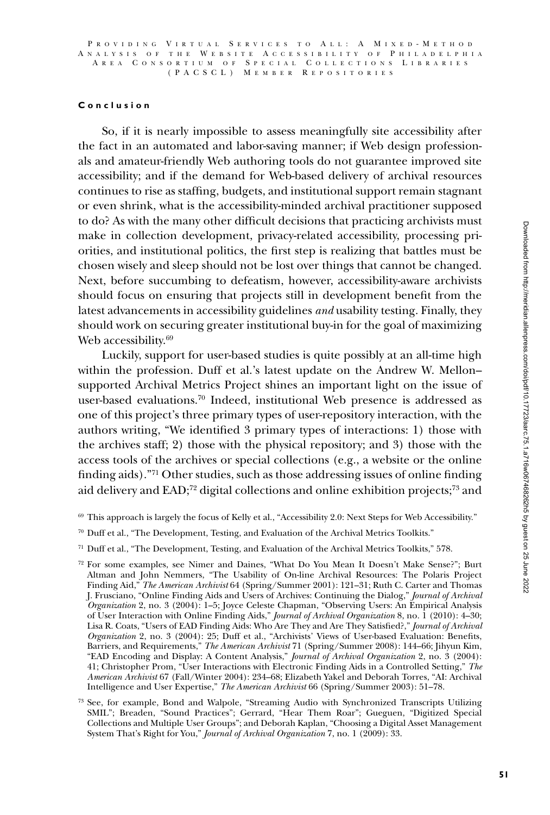## **Conclusion**

So, if it is nearly impossible to assess meaningfully site accessibility after the fact in an automated and labor-saving manner; if Web design professionals and amateur-friendly Web authoring tools do not guarantee improved site accessibility; and if the demand for Web-based delivery of archival resources continues to rise as staffing, budgets, and institutional support remain stagnant or even shrink, what is the accessibility-minded archival practitioner supposed to do? As with the many other difficult decisions that practicing archivists must make in collection development, privacy-related accessibility, processing priorities, and institutional politics, the first step is realizing that battles must be chosen wisely and sleep should not be lost over things that cannot be changed. Next, before succumbing to defeatism, however, accessibility-aware archivists should focus on ensuring that projects still in development benefit from the latest advancements in accessibility guidelines *and* usability testing. Finally, they should work on securing greater institutional buy-in for the goal of maximizing Web accessibility.<sup>69</sup>

Luckily, support for user-based studies is quite possibly at an all-time high within the profession. Duff et al.'s latest update on the Andrew W. Mellon– supported Archival Metrics Project shines an important light on the issue of user-based evaluations.70 Indeed, institutional Web presence is addressed as one of this project's three primary types of user-repository interaction, with the authors writing, "We identified 3 primary types of interactions: 1) those with the archives staff; 2) those with the physical repository; and 3) those with the access tools of the archives or special collections (e.g., a website or the online finding aids)."71 Other studies, such as those addressing issues of online finding aid delivery and EAD;72 digital collections and online exhibition projects;73 and

- <sup>69</sup> This approach is largely the focus of Kelly et al., "Accessibility 2.0: Next Steps for Web Accessibility."
- <sup>70</sup> Duff et al., "The Development, Testing, and Evaluation of the Archival Metrics Toolkits."
- <sup>71</sup> Duff et al., "The Development, Testing, and Evaluation of the Archival Metrics Toolkits," 578.

<sup>72</sup> For some examples, see Nimer and Daines, "What Do You Mean It Doesn't Make Sense?"; Burt Altman and John Nemmers, "The Usability of On-line Archival Resources: The Polaris Project Finding Aid," *The American Archivist* 64 (Spring/Summer 2001): 121–31; Ruth C. Carter and Thomas J. Frusciano, "Online Finding Aids and Users of Archives: Continuing the Dialog," *Journal of Archival Organization* 2, no. 3 (2004): 1–5; Joyce Celeste Chapman, "Observing Users: An Empirical Analysis of User Interaction with Online Finding Aids," *Journal of Archival Organization* 8, no. 1 (2010): 4–30; Lisa R. Coats, "Users of EAD Finding Aids: Who Are They and Are They Satisfied?," *Journal of Archival Organization* 2, no. 3 (2004): 25; Duff et al., "Archivists' Views of User-based Evaluation: Benefits, Barriers, and Requirements," *The American Archivist* 71 (Spring/Summer 2008): 144–66; Jihyun Kim, "EAD Encoding and Display: A Content Analysis," *Journal of Archival Organization* 2, no. 3 (2004): 41; Christopher Prom, "User Interactions with Electronic Finding Aids in a Controlled Setting," *The American Archivist* 67 (Fall/Winter 2004): 234–68; Elizabeth Yakel and Deborah Torres, "AI: Archival Intelligence and User Expertise," *The American Archivist* 66 (Spring/Summer 2003): 51–78.

<sup>73</sup> See, for example, Bond and Walpole, "Streaming Audio with Synchronized Transcripts Utilizing SMIL"; Breaden, "Sound Practices"; Gerrard, "Hear Them Roar"; Gueguen, "Digitized Special Collections and Multiple User Groups"; and Deborah Kaplan, "Choosing a Digital Asset Management System That's Right for You," *Journal of Archival Organization* 7, no. 1 (2009): 33.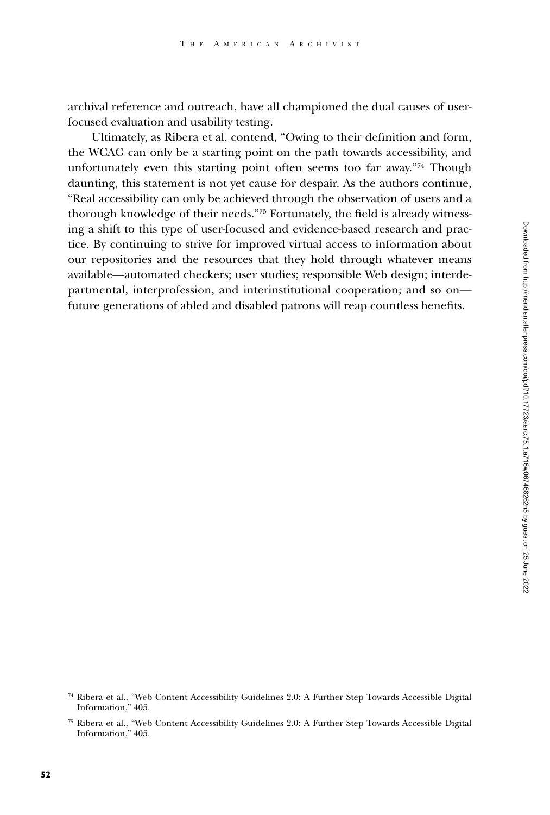archival reference and outreach, have all championed the dual causes of userfocused evaluation and usability testing.

Ultimately, as Ribera et al. contend, "Owing to their definition and form, the WCAG can only be a starting point on the path towards accessibility, and unfortunately even this starting point often seems too far away."<sup>74</sup> Though daunting, this statement is not yet cause for despair. As the authors continue, "Real accessibility can only be achieved through the observation of users and a thorough knowledge of their needs."75 Fortunately, the field is already witnessing a shift to this type of user-focused and evidence-based research and practice. By continuing to strive for improved virtual access to information about our repositories and the resources that they hold through whatever means available—automated checkers; user studies; responsible Web design; interdepartmental, interprofession, and interinstitutional cooperation; and so on future generations of abled and disabled patrons will reap countless benefits.

<sup>74</sup> Ribera et al., "Web Content Accessibility Guidelines 2.0: A Further Step Towards Accessible Digital Information," 405.

<sup>75</sup> Ribera et al., "Web Content Accessibility Guidelines 2.0: A Further Step Towards Accessible Digital Information," 405.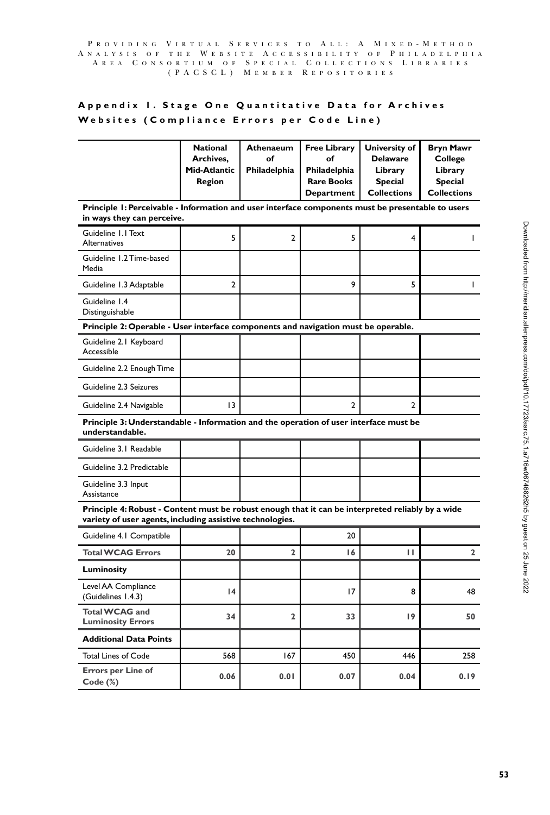### P R O V I D I N G V I R T U A L S E R V I C E S T O A L L : A M I X E D - M E T H O D A N A L Y S I S O F T H E W E B S I T E A C C E S S I B I L I T Y O F P H I L A D E L P H I A R E A  $\,$  C O N S O R T I U M  $\,$  O F  $\,$  S P E C I A L  $\,$  C O L L E C T I O N S  $\,$  L I B R A R I E S ( P A CSCL ) M e m b e r R e p o s i t o r i e s

# **Appendix 1. Stage One Quantitative Data for Archives Websites (Compliance Errors per Code Line)**

|                                                                                                                                                                | <b>National</b><br>Archives,<br>Mid-Atlantic<br>Region | Athenaeum<br>of<br>Philadelphia | <b>Free Library</b><br>of<br>Philadelphia<br><b>Rare Books</b><br>Department | University of<br><b>Delaware</b><br>Library<br><b>Special</b><br><b>Collections</b> | <b>Bryn Mawr</b><br>College<br>Library<br><b>Special</b><br><b>Collections</b> |  |  |  |
|----------------------------------------------------------------------------------------------------------------------------------------------------------------|--------------------------------------------------------|---------------------------------|------------------------------------------------------------------------------|-------------------------------------------------------------------------------------|--------------------------------------------------------------------------------|--|--|--|
| Principle 1: Perceivable - Information and user interface components must be presentable to users<br>in ways they can perceive.                                |                                                        |                                 |                                                                              |                                                                                     |                                                                                |  |  |  |
| Guideline 1.1 Text<br>Alternatives                                                                                                                             | 5                                                      | $\overline{2}$                  | 5                                                                            | 4                                                                                   | L                                                                              |  |  |  |
| Guideline 1.2 Time-based<br>Media                                                                                                                              |                                                        |                                 |                                                                              |                                                                                     |                                                                                |  |  |  |
| Guideline 1.3 Adaptable                                                                                                                                        | 2                                                      |                                 | 9                                                                            | 5                                                                                   | L                                                                              |  |  |  |
| Guideline 1.4<br>Distinguishable                                                                                                                               |                                                        |                                 |                                                                              |                                                                                     |                                                                                |  |  |  |
| Principle 2: Operable - User interface components and navigation must be operable.                                                                             |                                                        |                                 |                                                                              |                                                                                     |                                                                                |  |  |  |
| Guideline 2.1 Keyboard<br>Accessible                                                                                                                           |                                                        |                                 |                                                                              |                                                                                     |                                                                                |  |  |  |
| Guideline 2.2 Enough Time                                                                                                                                      |                                                        |                                 |                                                                              |                                                                                     |                                                                                |  |  |  |
| Guideline 2.3 Seizures                                                                                                                                         |                                                        |                                 |                                                                              |                                                                                     |                                                                                |  |  |  |
| Guideline 2.4 Navigable                                                                                                                                        | 13                                                     |                                 | $\overline{2}$                                                               | $\overline{2}$                                                                      |                                                                                |  |  |  |
| Principle 3: Understandable - Information and the operation of user interface must be<br>understandable.                                                       |                                                        |                                 |                                                                              |                                                                                     |                                                                                |  |  |  |
| Guideline 3.1 Readable                                                                                                                                         |                                                        |                                 |                                                                              |                                                                                     |                                                                                |  |  |  |
| Guideline 3.2 Predictable                                                                                                                                      |                                                        |                                 |                                                                              |                                                                                     |                                                                                |  |  |  |
| Guideline 3.3 Input<br>Assistance                                                                                                                              |                                                        |                                 |                                                                              |                                                                                     |                                                                                |  |  |  |
| Principle 4: Robust - Content must be robust enough that it can be interpreted reliably by a wide<br>variety of user agents, including assistive technologies. |                                                        |                                 |                                                                              |                                                                                     |                                                                                |  |  |  |
| Guideline 4.1 Compatible                                                                                                                                       |                                                        |                                 | 20                                                                           |                                                                                     |                                                                                |  |  |  |
| <b>Total WCAG Errors</b>                                                                                                                                       | 20                                                     | $\overline{2}$                  | 16                                                                           | П                                                                                   | 2                                                                              |  |  |  |
| Luminosity                                                                                                                                                     |                                                        |                                 |                                                                              |                                                                                     |                                                                                |  |  |  |
| Level AA Compliance<br>(Guidelines 1.4.3)                                                                                                                      | 4                                                      |                                 | 17                                                                           | 8                                                                                   | 48                                                                             |  |  |  |
| <b>Total WCAG and</b><br><b>Luminosity Errors</b>                                                                                                              | 34                                                     | 2                               | 33                                                                           | 19                                                                                  | 50                                                                             |  |  |  |
| <b>Additional Data Points</b>                                                                                                                                  |                                                        |                                 |                                                                              |                                                                                     |                                                                                |  |  |  |
| <b>Total Lines of Code</b>                                                                                                                                     | 568                                                    | 167                             | 450                                                                          | 446                                                                                 | 258                                                                            |  |  |  |
| <b>Errors per Line of</b><br>Code (%)                                                                                                                          | 0.06                                                   | 0.01                            | 0.07                                                                         | 0.04                                                                                | 0.19                                                                           |  |  |  |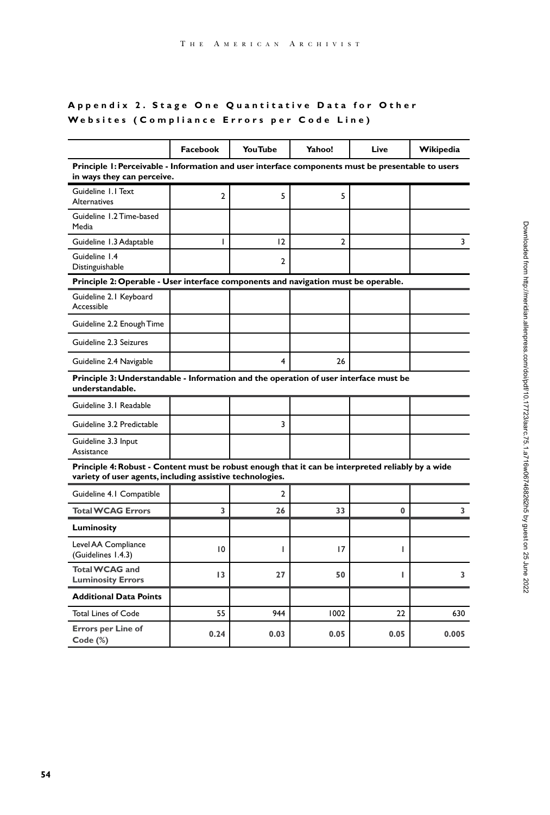# **Appendix 2. Stage One Quantitative Data for Other Websites (Compliance Errors per Code Line)**

|                                                                                                                                                                | Facebook     | YouTube        | Yahoo! | Live | Wikipedia |  |  |  |
|----------------------------------------------------------------------------------------------------------------------------------------------------------------|--------------|----------------|--------|------|-----------|--|--|--|
| Principle 1: Perceivable - Information and user interface components must be presentable to users<br>in ways they can perceive.                                |              |                |        |      |           |  |  |  |
| Guideline 1.1 Text<br><b>Alternatives</b>                                                                                                                      | $\mathbf{2}$ | 5              | 5      |      |           |  |  |  |
| Guideline 1.2 Time-based<br>Media                                                                                                                              |              |                |        |      |           |  |  |  |
| Guideline 1.3 Adaptable                                                                                                                                        | I            | 12             | 2      |      | 3         |  |  |  |
| Guideline 1.4<br>Distinguishable                                                                                                                               |              | $\overline{2}$ |        |      |           |  |  |  |
| Principle 2: Operable - User interface components and navigation must be operable.                                                                             |              |                |        |      |           |  |  |  |
| Guideline 2.1 Keyboard<br>Accessible                                                                                                                           |              |                |        |      |           |  |  |  |
| Guideline 2.2 Enough Time                                                                                                                                      |              |                |        |      |           |  |  |  |
| Guideline 2.3 Seizures                                                                                                                                         |              |                |        |      |           |  |  |  |
| Guideline 2.4 Navigable                                                                                                                                        |              | 4              | 26     |      |           |  |  |  |
| Principle 3: Understandable - Information and the operation of user interface must be<br>understandable.                                                       |              |                |        |      |           |  |  |  |
| Guideline 3.1 Readable                                                                                                                                         |              |                |        |      |           |  |  |  |
| Guideline 3.2 Predictable                                                                                                                                      |              | 3              |        |      |           |  |  |  |
| Guideline 3.3 Input<br>Assistance                                                                                                                              |              |                |        |      |           |  |  |  |
| Principle 4: Robust - Content must be robust enough that it can be interpreted reliably by a wide<br>variety of user agents, including assistive technologies. |              |                |        |      |           |  |  |  |
| Guideline 4.1 Compatible                                                                                                                                       |              | 2              |        |      |           |  |  |  |
| <b>Total WCAG Errors</b>                                                                                                                                       | 3            | 26             | 33     | 0    | 3         |  |  |  |
| Luminosity                                                                                                                                                     |              |                |        |      |           |  |  |  |
| Level AA Compliance<br>(Guidelines 1.4.3)                                                                                                                      | 10           | ı              | 17     | I    |           |  |  |  |
| <b>Total WCAG and</b><br><b>Luminosity Errors</b>                                                                                                              | 13           | 27             | 50     | т    | 3         |  |  |  |
| <b>Additional Data Points</b>                                                                                                                                  |              |                |        |      |           |  |  |  |
| <b>Total Lines of Code</b>                                                                                                                                     | 55           | 944            | 1002   | 22   | 630       |  |  |  |
| <b>Errors per Line of</b><br>Code (%)                                                                                                                          | 0.24         | 0.03           | 0.05   | 0.05 | 0.005     |  |  |  |